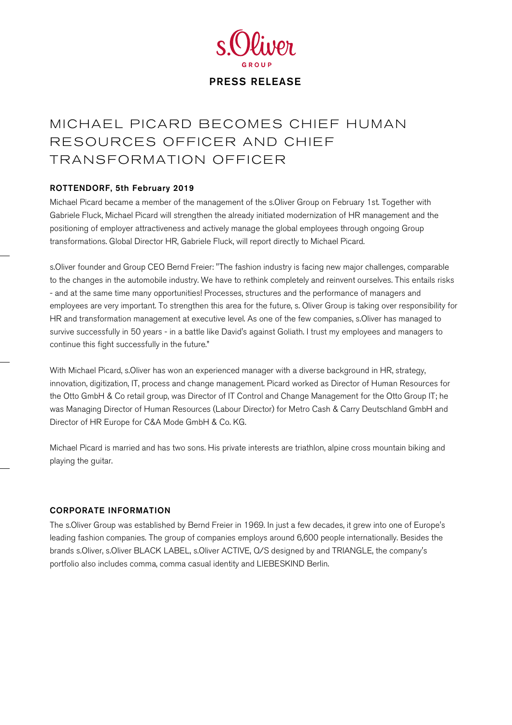

## MICHAEL PICARD BECOMES CHIEF HUMAN RESOURCES OFFICER AND CHIEF TRANSFORMATION OFFICER

## ROTTENDORF, 5th February 2019

Michael Picard became a member of the management of the s.Oliver Group on February 1st. Together with Gabriele Fluck, Michael Picard will strengthen the already initiated modernization of HR management and the positioning of employer attractiveness and actively manage the global employees through ongoing Group transformations. Global Director HR, Gabriele Fluck, will report directly to Michael Picard.

s.Oliver founder and Group CEO Bernd Freier: "The fashion industry is facing new major challenges, comparable to the changes in the automobile industry. We have to rethink completely and reinvent ourselves. This entails risks - and at the same time many opportunities! Processes, structures and the performance of managers and employees are very important. To strengthen this area for the future, s. Oliver Group is taking over responsibility for HR and transformation management at executive level. As one of the few companies, s.Oliver has managed to survive successfully in 50 years - in a battle like David's against Goliath. I trust my employees and managers to continue this fight successfully in the future."

With Michael Picard, s.Oliver has won an experienced manager with a diverse background in HR, strategy, innovation, digitization, IT, process and change management. Picard worked as Director of Human Resources for the Otto GmbH & Co retail group, was Director of IT Control and Change Management for the Otto Group IT; he was Managing Director of Human Resources (Labour Director) for Metro Cash & Carry Deutschland GmbH and Director of HR Europe for C&A Mode GmbH & Co. KG.

Michael Picard is married and has two sons. His private interests are triathlon, alpine cross mountain biking and playing the guitar.

## CORPORATE INFORMATION

The s.Oliver Group was established by Bernd Freier in 1969. In just a few decades, it grew into one of Europe's leading fashion companies. The group of companies employs around 6,600 people internationally. Besides the brands s.Oliver, s.Oliver BLACK LABEL, s.Oliver ACTIVE, Q/S designed by and TRIANGLE, the company's portfolio also includes comma, comma casual identity and LIEBESKIND Berlin.